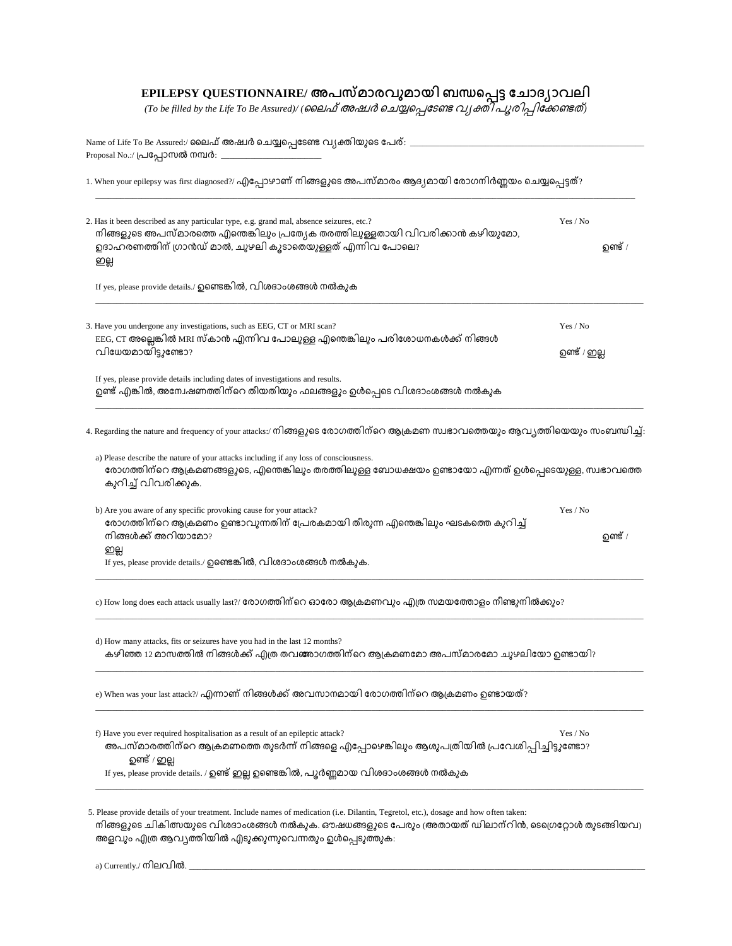## **EPILEPSY QUESTIONNAIRE/**

*(To be filled by the Life To Be Assured)/ ( )*

| 1. When your epilepsy was first diagnosed?/ എപ്പോഴാണ് നിങ്ങളുടെ അപസ്മാരം ആദ്യമായി രോഗനിർണ്ണയം ചെയ്യപ്പെട്ടത്?                                                                                                                                     |                          |  |  |
|---------------------------------------------------------------------------------------------------------------------------------------------------------------------------------------------------------------------------------------------------|--------------------------|--|--|
| 2. Has it been described as any particular type, e.g. grand mal, absence seizures, etc.?<br>നിങ്ങളുടെ അപസ്മാരത്തെ എന്തെങ്കിലും പ്രത്യേക തരത്തിലുള്ളതായി വിവരിക്കാൻ കഴിയുമോ,<br>ഉദാഹരണത്തിന് ഗ്രാൻഡ് മാൽ, ചുഴലി കൂടാതെയുള്ളത് എന്നിവ പോലെ?<br>ഇല്ല | Yes / No<br>ഉണ്ട് /      |  |  |
| If yes, please provide details./ ഉണ്ടെങ്കിൽ, വിശദാംശങ്ങൾ നൽകുക                                                                                                                                                                                    |                          |  |  |
| 3. Have you undergone any investigations, such as EEG, CT or MRI scan?<br>EEG, CT അല്ലെങ്കിൽ MRI സ്കാൻ എന്നിവ പോലുള്ള എന്തെങ്കിലും പരിശോധനകൾക്ക് നിങ്ങൾ<br>വിധേയമായിട്ടുണ്ടോ?                                                                     | Yes / No<br>ഉണ്ട് / ഇല്ല |  |  |
| If yes, please provide details including dates of investigations and results.<br>ഉണ്ട് എങ്കിൽ, അന്വേഷണത്തിന്റെ തീയതിയും ഫലങ്ങളും ഉൾപ്പെടെ വിശദാംശങ്ങൾ നൽകുക                                                                                       |                          |  |  |
| 4. Regarding the nature and frequency of your attacks:/ നിങ്ങളുടെ രോഗത്തിന്റെ ആക്രമണ സ്വഭാവത്തെയും ആവ്യത്തിയെയും സംബന്ധിച്ച്:                                                                                                                     |                          |  |  |
| a) Please describe the nature of your attacks including if any loss of consciousness.<br>രോഗത്തിന്റെ ആക്രമണങ്ങളുടെ, എന്തെങ്കിലും തരത്തിലുള്ള ബോധക്ഷയം ഉണ്ടായോ എന്നത് ഉൾപ്പെടെയുള്ള, സ്വഭാവത്തെ<br>കുറിച്ച് വിവരിക്കുക.                            |                          |  |  |
| b) Are you aware of any specific provoking cause for your attack?<br>രോഗത്തിന്റെ ആക്രമണം ഉണ്ടാവുന്നതിന് പ്രേരകമായി തീരുന്ന എന്തെങ്കിലും ഘടകത്തെ കുറിച്ച്<br>നിങ്ങൾക്ക് അറിയാമോ?                                                                   | Yes / No<br>ഉണ്ട് /      |  |  |
|                                                                                                                                                                                                                                                   |                          |  |  |
| ഇല്ല<br>If yes, please provide details./ ഉണ്ടെങ്കിൽ, വിശദാംശങ്ങൾ നൽകുക.                                                                                                                                                                           |                          |  |  |
| c) How long does each attack usually last?/ രോഗത്തിന്റെ ഓരോ ആക്രമണവും എത്ര സമയത്തോളം നീണ്ടുനിൽക്കും?                                                                                                                                              |                          |  |  |
| d) How many attacks, fits or seizures have you had in the last 12 months?<br>കഴിഞ്ഞ 12 മാസത്തിൽ നിങ്ങൾക്ക് എത്ര തവങ്ങാഗത്തിന്റെ ആക്രമണമോ അപസ്മാരമോ ചുഴലിയോ ഉണ്ടായി?                                                                               |                          |  |  |
| e) When was your last attack?/ എന്നാണ് നിങ്ങൾക്ക് അവസാനമായി രോഗത്തിന്റെ ആക്രമണം ഉണ്ടായത്?                                                                                                                                                         |                          |  |  |
| f) Have you ever required hospitalisation as a result of an epileptic attack?<br>അപസ്മാരത്തിന്റെ ആക്രമണത്തെ തുടർന്ന് നിങ്ങളെ എപ്പോഴെങ്കിലും ആശുപത്രിയിൽ പ്രവേശിപ്പിച്ചിട്ടുണ്ടോ?<br>ഉണ്ട് / ഇല്ല                                                  | Yes / No                 |  |  |

നിങ്ങളുടെ ചികിത്സയുടെ വിശദാംശങ്ങൾ നൽകുക. ഔഷധങ്ങളുടെ പേരും അതായത് ഡിലാന്റിൻ, ടെഗ്രെറ്റോൾ തുടങ്ങിയവ) അളവും എത്ര ആവ്യത്തിയിൽ എടുക്കുന്നുവെന്നതും ഉൾപ്പെടുത്തുക:

| --<br>നിലവിൽ.<br>Currently.<br>21 O |  |
|-------------------------------------|--|
|                                     |  |
|                                     |  |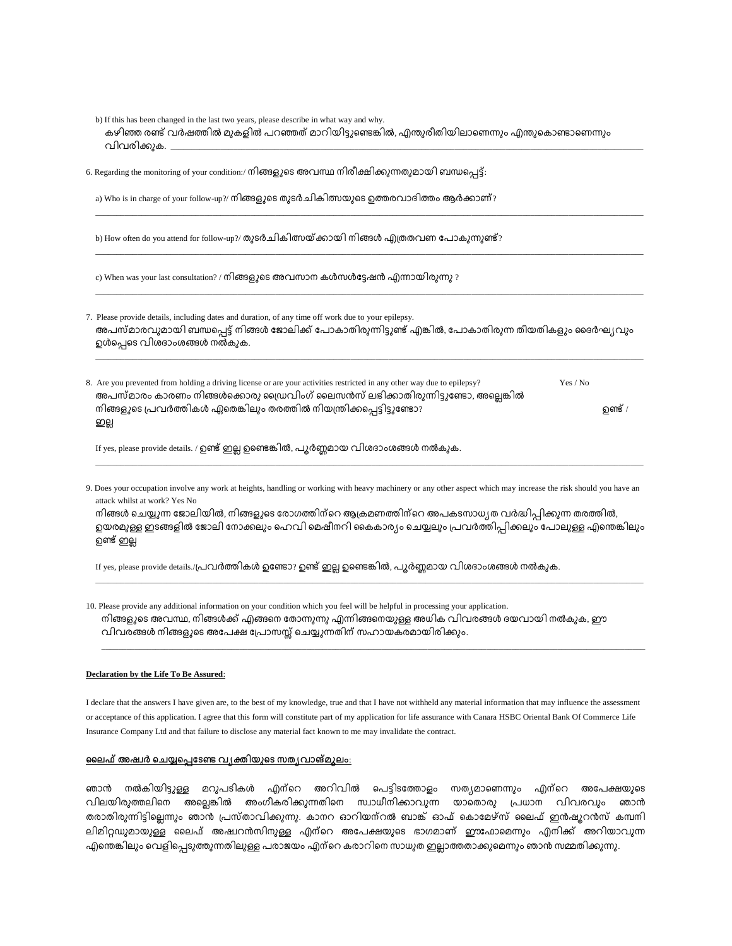| b) If this has been changed in the last two years, please describe in what way and why.<br>കഴിഞ്ഞ രണ്ട് വർഷത്തിൽ മുകളിൽ പറഞ്ഞത് മാറിയിട്ടുണ്ടെങ്കിൽ, എന്തുരീതിയിലാണെന്നും എന്തുകൊണ്ടാണെന്നും<br>വിവരിക്കുക. ___________                                                                                                     |
|-----------------------------------------------------------------------------------------------------------------------------------------------------------------------------------------------------------------------------------------------------------------------------------------------------------------------------|
| 6. Regarding the monitoring of your condition:/ നിങ്ങളുടെ അവസ്ഥ നിരീക്ഷിക്കുന്നതുമായി ബന്ധപ്പെട്ട്:                                                                                                                                                                                                                         |
| a) Who is in charge of your follow-up?/ നിങ്ങളുടെ തുടർചികിത്സയുടെ ഉത്തരവാദിത്തം ആർക്കാണ്?                                                                                                                                                                                                                                   |
| b) How often do you attend for follow-up?/ തുടർചികിത്സയ്ക്കായി നിങ്ങൾ എത്രതവണ പോകുന്നുണ്ട്?                                                                                                                                                                                                                                 |
| c) When was your last consultation? / നിങ്ങളുടെ അവസാന കൾസൾട്ടേഷൻ എന്നായിരുന്നു ?                                                                                                                                                                                                                                            |
| 7. Please provide details, including dates and duration, of any time off work due to your epilepsy.<br>അപസ്മാരവുമായി ബന്ധപ്പെട്ട് നിങ്ങൾ ജോലിക്ക് പോകാതിരുന്നിട്ടുണ്ട് എങ്കിൽ, പോകാതിരുന്ന തീയതികളും ദൈർഘ്യവും<br>ഉൾപ്പെടെ വിശദാംശങ്ങൾ നൽകുക.                                                                               |
| 8. Are you prevented from holding a driving license or are your activities restricted in any other way due to epilepsy?<br>Yes / No<br>അപസ്മാരം കാരണം നിങ്ങൾക്കൊരു ഡ്രൈവിംഗ് ലൈസൻസ് ലഭിക്കാതിരുന്നിട്ടുണ്ടോ, അല്ലെങ്കിൽ<br>നിങ്ങളുടെ പ്രവർത്തികൾ ഏതെങ്കിലും തരത്തിൽ നിയന്ത്രിക്കപ്പെട്ടിട്ടുണ്ടോ?<br><b>ഉണ്ട്</b> /<br>ഇല്ല |
| If yes, please provide details. / ഉണ്ട് ഇല്ല ഉണ്ടെങ്കിൽ, പൂർണ്ണമായ വിശദാംശങ്ങൾ നൽകുക.                                                                                                                                                                                                                                       |
| 9. Does your occupation involve any work at heights, handling or working with heavy machinery or any other aspect which may increase the risk should you have an<br>attack whilst at work? Yes No<br>നിങ്ങൾ ചെയ്യുന്ന ജോലിയിൽ, നിങ്ങളുടെ രോഗത്തിന്റെ ആക്രമണത്തിന്റെ അപകടസാധ്യത വർദ്ധിപ്പിക്കുന്ന തരത്തിൽ,                   |

ഉയരമുള്ള ഇടങ്ങളിൽ ജോലി നോക്കലും ഹെവി മെഷീനറി കൈകാര്യം ചെയ്യലും പ്രവർത്തിപ്പിക്കലും പോലുള്ള എന്തെങ്കിലും ഉണ്ട് ഇല്ല

\_\_\_\_\_\_\_\_\_\_\_\_\_\_\_\_\_\_\_\_\_\_\_\_\_\_\_\_\_\_\_\_\_\_\_\_\_\_\_\_\_\_\_\_\_\_\_\_\_\_\_\_\_\_\_\_\_\_\_\_\_\_\_\_\_\_\_\_\_\_\_\_\_\_\_\_\_\_\_\_\_\_\_\_\_\_\_\_\_\_\_\_\_\_\_\_\_\_\_\_\_\_\_\_\_\_\_\_\_\_\_\_\_\_\_\_\_\_\_\_\_\_\_\_\_\_\_\_\_\_\_

\_\_\_\_\_\_\_\_\_\_\_\_\_\_\_\_\_\_\_\_\_\_\_\_\_\_\_\_\_\_\_\_\_\_\_\_\_\_\_\_\_\_\_\_\_\_\_\_\_\_\_\_\_\_\_\_\_\_\_\_\_\_\_\_\_\_\_\_\_\_\_\_\_\_\_\_\_\_\_\_\_\_\_\_\_\_\_\_\_\_\_\_\_\_\_\_\_\_\_\_\_\_\_\_\_\_\_\_\_\_\_\_\_\_\_\_\_\_\_\_\_\_\_\_\_\_\_\_\_\_

If yes, please provide details./പ്രവർത്തികൾ ഉണ്ടോ? ഉണ്ട് ഇല്ല ഉണ്ടെങ്കിൽ, പൂർണ്ണമായ വിശദാംശങ്ങൾ നൽകുക.

10. Please provide any additional information on your condition which you feel will be helpful in processing your application. നിങ്ങളുടെ അവസ്ഥ, നിങ്ങൾക്ക് എങ്ങനെ തോന്നുന്നു എന്നിങ്ങനെയുള്ള അധിക വിവരങ്ങൾ ദയവായി നൽകുക, ഈ വിവരങ്ങൾ നിങ്ങളുടെ അപേക്ഷ പ്രോസസ്സ് ചെയ്യുന്നതിന് സഹായകരമായിരിക്കും.

## **Declaration by the Life To Be Assured**:

I declare that the answers I have given are, to the best of my knowledge, true and that I have not withheld any material information that may influence the assessment or acceptance of this application. I agree that this form will constitute part of my application for life assurance with Canara HSBC Oriental Bank Of Commerce Life Insurance Company Ltd and that failure to disclose any material fact known to me may invalidate the contract.

## <u>ലൈഫ് അഷ്വർ ചെയ്യപ്പെടേണ്ട വൃക്തിയുടെ സതൃവാങ്മൂലം:</u>

ഞാൻ നൽകിയിട്ടുള്ള മറുപടികൾ എന്റെ അറിവിൽ പെട്ടിടത്തോളം സത്യമാണെന്നും എന്റെ അപേക്ഷയുടെ വിലയിരുത്തലിനെ അല്ലെങ്കിൽ അംഗീകരിക്കുന്നതിനെ സ്വാധീനിക്കാവുന്ന യാതൊരു പ്രധാന വിവരവും ഞാൻ തരാതിരുന്നിട്ടില്ലെന്നും ഞാൻ പ്രസ്താവിക്കുന്നു. കാനറ ഓറിയന്റൽ ബാങ്ക് ഓഫ് കൊമേഴ്സ് ലൈഫ് ഇൻഷൂറൻസ് കമ്പനി ലിമിറ്റഡുമായുള്ള ലൈഫ് അഷറൻസിനുള്ള എന്റെ അപേക്ഷയുടെ ഭാഗമാണ് ഈഫോമെന്നും എനിക്ക് അറിയാവുന്ന .എന്തെങ്കിലും വെളിപ്പെടുത്തുന്നതിലുള്ള പരാജയം എന്റെ കരാറിനെ സാധുത ഇല്ലാത്തതാക്കുമെന്നും ഞാൻ സമ്മതിക്കുന്നു.